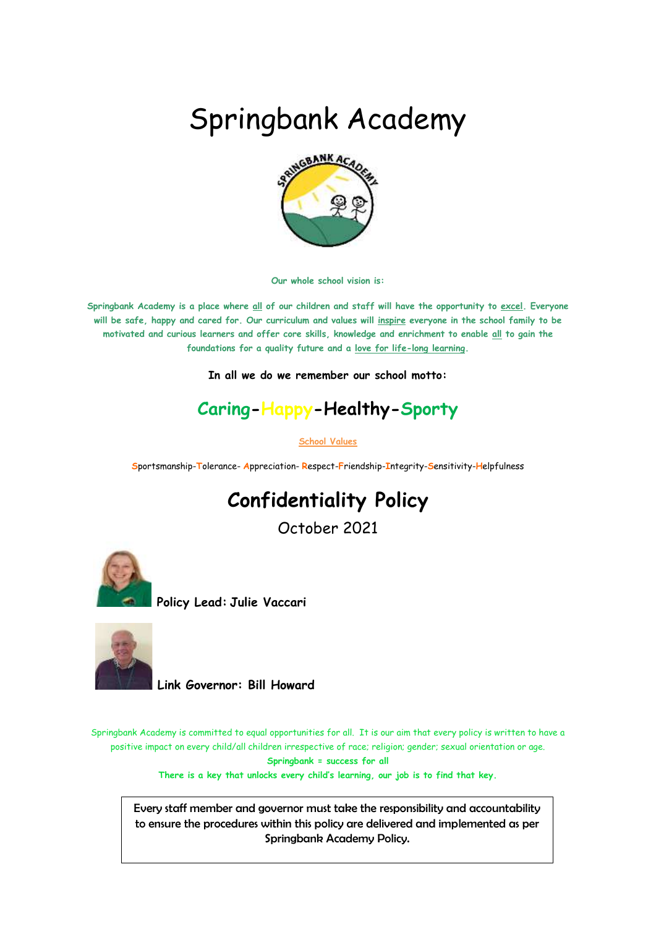# Springbank Academy



**Our whole school vision is:**

**Springbank Academy is a place where all of our children and staff will have the opportunity to excel. Everyone will be safe, happy and cared for. Our curriculum and values will inspire everyone in the school family to be motivated and curious learners and offer core skills, knowledge and enrichment to enable all to gain the foundations for a quality future and a love for life-long learning.**

**In all we do we remember our school motto:**

## **Caring-Happy-Healthy-Sporty**

**School Values**

**S**portsmanship-**T**olerance- **A**ppreciation- **R**espect-**F**riendship-**I**ntegrity-**S**ensitivity-**H**elpfulness

# **Confidentiality Policy**

October 2021



**Policy Lead: Julie Vaccari**



 **Link Governor: Bill Howard** 

Springbank Academy is committed to equal opportunities for all. It is our aim that every policy is written to have a positive impact on every child/all children irrespective of race; religion; gender; sexual orientation or age. **Springbank = success for all**

**There is a key that unlocks every child's learning, our job is to find that key.**

Every staff member and governor must take the responsibility and accountability to ensure the procedures within this policy are delivered and implemented as per Springbank Academy Policy.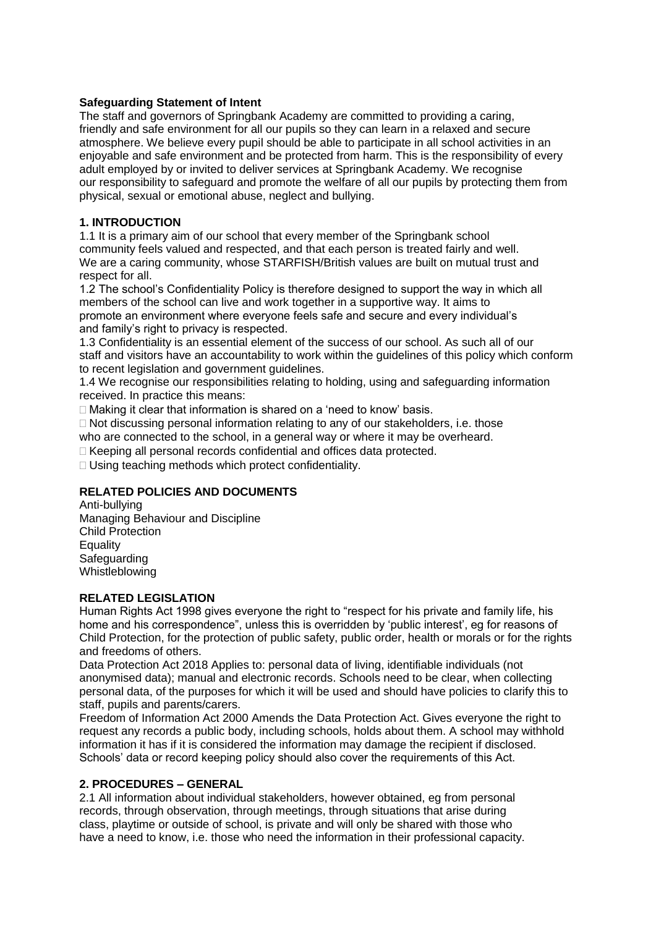#### **Safeguarding Statement of Intent**

The staff and governors of Springbank Academy are committed to providing a caring, friendly and safe environment for all our pupils so they can learn in a relaxed and secure atmosphere. We believe every pupil should be able to participate in all school activities in an enjoyable and safe environment and be protected from harm. This is the responsibility of every adult employed by or invited to deliver services at Springbank Academy. We recognise our responsibility to safeguard and promote the welfare of all our pupils by protecting them from physical, sexual or emotional abuse, neglect and bullying.

#### **1. INTRODUCTION**

1.1 It is a primary aim of our school that every member of the Springbank school community feels valued and respected, and that each person is treated fairly and well. We are a caring community, whose STARFISH/British values are built on mutual trust and respect for all.

1.2 The school's Confidentiality Policy is therefore designed to support the way in which all members of the school can live and work together in a supportive way. It aims to promote an environment where everyone feels safe and secure and every individual's and family's right to privacy is respected.

1.3 Confidentiality is an essential element of the success of our school. As such all of our staff and visitors have an accountability to work within the guidelines of this policy which conform to recent legislation and government guidelines.

1.4 We recognise our responsibilities relating to holding, using and safeguarding information received. In practice this means:

□ Making it clear that information is shared on a 'need to know' basis.

 $\Box$  Not discussing personal information relating to any of our stakeholders, i.e. those who are connected to the school, in a general way or where it may be overheard.

Keeping all personal records confidential and offices data protected.

□ Using teaching methods which protect confidentiality.

#### **RELATED POLICIES AND DOCUMENTS**

Anti-bullying Managing Behaviour and Discipline Child Protection Equality **Safeguarding** Whistleblowing

#### **RELATED LEGISLATION**

Human Rights Act 1998 gives everyone the right to "respect for his private and family life, his home and his correspondence", unless this is overridden by 'public interest', eg for reasons of Child Protection, for the protection of public safety, public order, health or morals or for the rights and freedoms of others.

Data Protection Act 2018 Applies to: personal data of living, identifiable individuals (not anonymised data); manual and electronic records. Schools need to be clear, when collecting personal data, of the purposes for which it will be used and should have policies to clarify this to staff, pupils and parents/carers.

Freedom of Information Act 2000 Amends the Data Protection Act. Gives everyone the right to request any records a public body, including schools, holds about them. A school may withhold information it has if it is considered the information may damage the recipient if disclosed. Schools' data or record keeping policy should also cover the requirements of this Act.

#### **2. PROCEDURES – GENERAL**

2.1 All information about individual stakeholders, however obtained, eg from personal records, through observation, through meetings, through situations that arise during class, playtime or outside of school, is private and will only be shared with those who have a need to know, i.e. those who need the information in their professional capacity.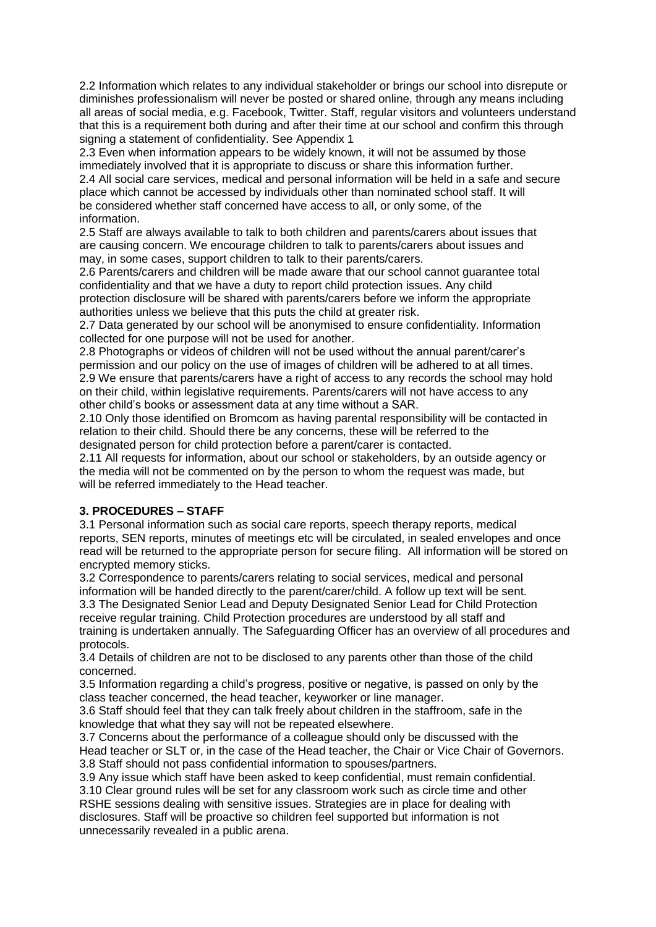2.2 Information which relates to any individual stakeholder or brings our school into disrepute or diminishes professionalism will never be posted or shared online, through any means including all areas of social media, e.g. Facebook, Twitter. Staff, regular visitors and volunteers understand that this is a requirement both during and after their time at our school and confirm this through signing a statement of confidentiality. See Appendix 1

2.3 Even when information appears to be widely known, it will not be assumed by those immediately involved that it is appropriate to discuss or share this information further. 2.4 All social care services, medical and personal information will be held in a safe and secure place which cannot be accessed by individuals other than nominated school staff. It will be considered whether staff concerned have access to all, or only some, of the information.

2.5 Staff are always available to talk to both children and parents/carers about issues that are causing concern. We encourage children to talk to parents/carers about issues and may, in some cases, support children to talk to their parents/carers.

2.6 Parents/carers and children will be made aware that our school cannot guarantee total confidentiality and that we have a duty to report child protection issues. Any child protection disclosure will be shared with parents/carers before we inform the appropriate authorities unless we believe that this puts the child at greater risk.

2.7 Data generated by our school will be anonymised to ensure confidentiality. Information collected for one purpose will not be used for another.

2.8 Photographs or videos of children will not be used without the annual parent/carer's permission and our policy on the use of images of children will be adhered to at all times. 2.9 We ensure that parents/carers have a right of access to any records the school may hold on their child, within legislative requirements. Parents/carers will not have access to any other child's books or assessment data at any time without a SAR.

2.10 Only those identified on Bromcom as having parental responsibility will be contacted in relation to their child. Should there be any concerns, these will be referred to the designated person for child protection before a parent/carer is contacted.

2.11 All requests for information, about our school or stakeholders, by an outside agency or the media will not be commented on by the person to whom the request was made, but will be referred immediately to the Head teacher.

#### **3. PROCEDURES – STAFF**

3.1 Personal information such as social care reports, speech therapy reports, medical reports, SEN reports, minutes of meetings etc will be circulated, in sealed envelopes and once read will be returned to the appropriate person for secure filing. All information will be stored on encrypted memory sticks.

3.2 Correspondence to parents/carers relating to social services, medical and personal information will be handed directly to the parent/carer/child. A follow up text will be sent. 3.3 The Designated Senior Lead and Deputy Designated Senior Lead for Child Protection receive regular training. Child Protection procedures are understood by all staff and training is undertaken annually. The Safeguarding Officer has an overview of all procedures and protocols.

3.4 Details of children are not to be disclosed to any parents other than those of the child concerned.

3.5 Information regarding a child's progress, positive or negative, is passed on only by the class teacher concerned, the head teacher, keyworker or line manager.

3.6 Staff should feel that they can talk freely about children in the staffroom, safe in the knowledge that what they say will not be repeated elsewhere.

3.7 Concerns about the performance of a colleague should only be discussed with the Head teacher or SLT or, in the case of the Head teacher, the Chair or Vice Chair of Governors. 3.8 Staff should not pass confidential information to spouses/partners.

3.9 Any issue which staff have been asked to keep confidential, must remain confidential. 3.10 Clear ground rules will be set for any classroom work such as circle time and other RSHE sessions dealing with sensitive issues. Strategies are in place for dealing with disclosures. Staff will be proactive so children feel supported but information is not unnecessarily revealed in a public arena.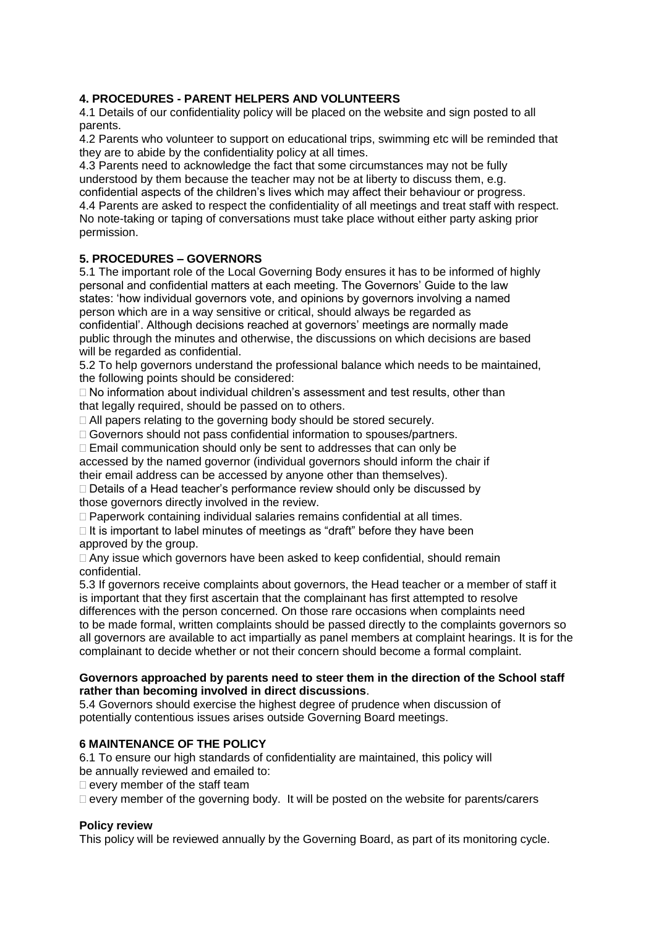#### **4. PROCEDURES - PARENT HELPERS AND VOLUNTEERS**

4.1 Details of our confidentiality policy will be placed on the website and sign posted to all parents.

4.2 Parents who volunteer to support on educational trips, swimming etc will be reminded that they are to abide by the confidentiality policy at all times.

4.3 Parents need to acknowledge the fact that some circumstances may not be fully understood by them because the teacher may not be at liberty to discuss them, e.g. confidential aspects of the children's lives which may affect their behaviour or progress. 4.4 Parents are asked to respect the confidentiality of all meetings and treat staff with respect. No note-taking or taping of conversations must take place without either party asking prior permission.

#### **5. PROCEDURES – GOVERNORS**

5.1 The important role of the Local Governing Body ensures it has to be informed of highly personal and confidential matters at each meeting. The Governors' Guide to the law states: 'how individual governors vote, and opinions by governors involving a named person which are in a way sensitive or critical, should always be regarded as confidential'. Although decisions reached at governors' meetings are normally made public through the minutes and otherwise, the discussions on which decisions are based will be regarded as confidential.

5.2 To help governors understand the professional balance which needs to be maintained, the following points should be considered:

 $\Box$  No information about individual children's assessment and test results, other than that legally required, should be passed on to others.

□ All papers relating to the governing body should be stored securely.

Governors should not pass confidential information to spouses/partners.

 $\Box$  Email communication should only be sent to addresses that can only be

accessed by the named governor (individual governors should inform the chair if their email address can be accessed by anyone other than themselves).

 $\Box$  Details of a Head teacher's performance review should only be discussed by those governors directly involved in the review.

□ Paperwork containing individual salaries remains confidential at all times.

 $\Box$  It is important to label minutes of meetings as "draft" before they have been approved by the group.

 $\Box$  Any issue which governors have been asked to keep confidential, should remain confidential.

5.3 If governors receive complaints about governors, the Head teacher or a member of staff it is important that they first ascertain that the complainant has first attempted to resolve differences with the person concerned. On those rare occasions when complaints need to be made formal, written complaints should be passed directly to the complaints governors so all governors are available to act impartially as panel members at complaint hearings. It is for the complainant to decide whether or not their concern should become a formal complaint.

#### **Governors approached by parents need to steer them in the direction of the School staff rather than becoming involved in direct discussions**.

5.4 Governors should exercise the highest degree of prudence when discussion of potentially contentious issues arises outside Governing Board meetings.

#### **6 MAINTENANCE OF THE POLICY**

6.1 To ensure our high standards of confidentiality are maintained, this policy will be annually reviewed and emailed to:

 $\Box$  every member of the staff team

 $\square$  every member of the governing body. It will be posted on the website for parents/carers

#### **Policy review**

This policy will be reviewed annually by the Governing Board, as part of its monitoring cycle.